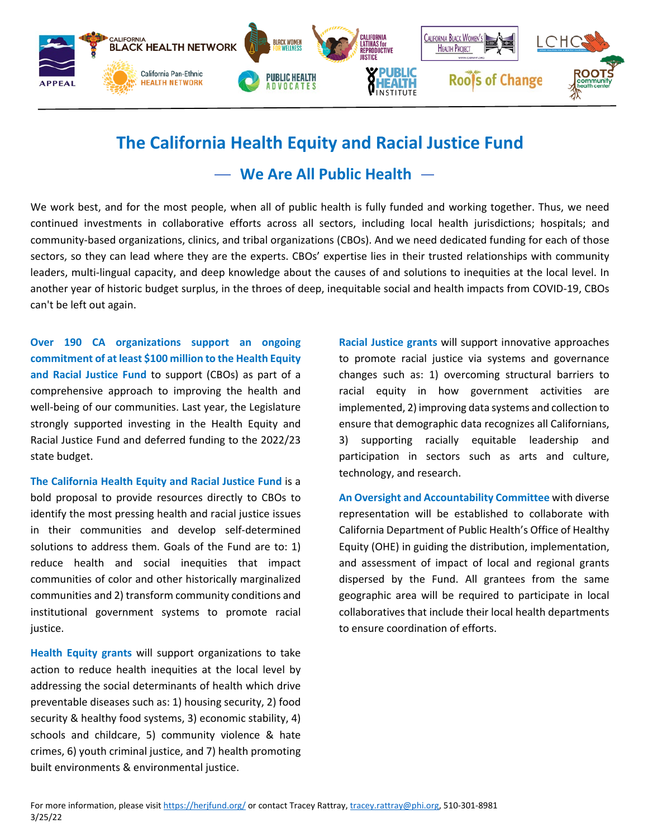

## **The California Health Equity and Racial Justice Fund**

**We Are All Public Health**

We work best, and for the most people, when all of public health is fully funded and working together. Thus, we need continued investments in collaborative efforts across all sectors, including local health jurisdictions; hospitals; and community-based organizations, clinics, and tribal organizations (CBOs). And we need dedicated funding for each of those sectors, so they can lead where they are the experts. CBOs' expertise lies in their trusted relationships with community leaders, multi-lingual capacity, and deep knowledge about the causes of and solutions to inequities at the local level. In another year of historic budget surplus, in the throes of deep, inequitable social and health impacts from COVID-19, CBOs can't be left out again.

**Over 190 CA organizations support an ongoing commitment of at least \$100 million to the Health Equity and Racial Justice Fund** to support (CBOs) as part of a comprehensive approach to improving the health and well-being of our communities. Last year, the Legislature strongly supported investing in the Health Equity and Racial Justice Fund and deferred funding to the 2022/23 state budget.

**The California Health Equity and Racial Justice Fund** is a bold proposal to provide resources directly to CBOs to identify the most pressing health and racial justice issues in their communities and develop self-determined solutions to address them. Goals of the Fund are to: 1) reduce health and social inequities that impact communities of color and other historically marginalized communities and 2) transform community conditions and institutional government systems to promote racial justice.

**Health Equity grants** will support organizations to take action to reduce health inequities at the local level by addressing the social determinants of health which drive preventable diseases such as: 1) housing security, 2) food security & healthy food systems, 3) economic stability, 4) schools and childcare, 5) community violence & hate crimes, 6) youth criminal justice, and 7) health promoting built environments & environmental justice.

**Racial Justice grants** will support innovative approaches to promote racial justice via systems and governance changes such as: 1) overcoming structural barriers to racial equity in how government activities are implemented, 2) improving data systems and collection to ensure that demographic data recognizes all Californians, 3) supporting racially equitable leadership and participation in sectors such as arts and culture, technology, and research.

**An Oversight and Accountability Committee** with diverse representation will be established to collaborate with California Department of Public Health's Office of Healthy Equity (OHE) in guiding the distribution, implementation, and assessment of impact of local and regional grants dispersed by the Fund. All grantees from the same geographic area will be required to participate in local collaboratives that include their local health departments to ensure coordination of efforts.